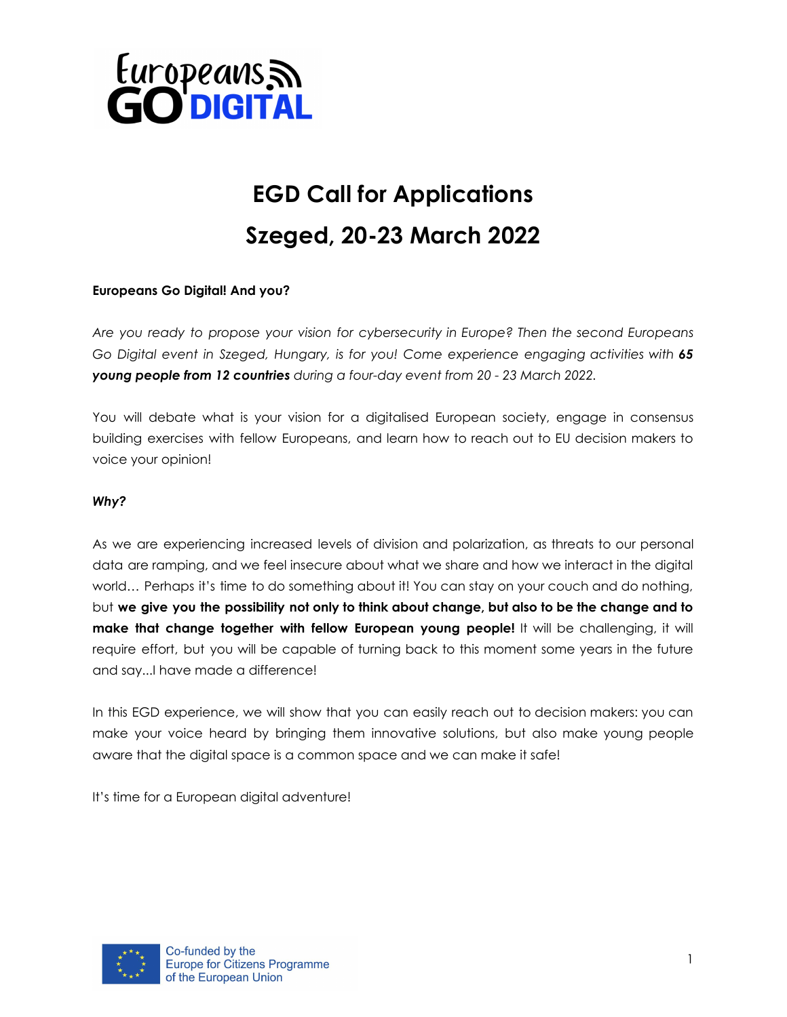

### **EGD Call for Applications Szeged, 20-23 March 2022**

#### **Europeans Go Digital! And you?**

*Are you ready to propose your vision for cybersecurity in Europe? Then the second Europeans Go Digital event in Szeged, Hungary, is for you! Come experience engaging activities with 65 young people from 12 countries during a four-day event from 20 - 23 March 2022.*

You will debate what is your vision for a digitalised European society, engage in consensus building exercises with fellow Europeans, and learn how to reach out to EU decision makers to voice your opinion!

#### *Why?*

As we are experiencing increased levels of division and polarization, as threats to our personal data are ramping, and we feel insecure about what we share and how we interact in the digital world… Perhaps it's time to do something about it! You can stay on your couch and do nothing, but we give you the possibility not only to think about change, but also to be the change and to **make that change together with fellow European young people!** It will be challenging, it will require effort, but you will be capable of turning back to this moment some years in the future and say...I have made a difference!

In this EGD experience, we will show that you can easily reach out to decision makers: you can make your voice heard by bringing them innovative solutions, but also make young people aware that the digital space is a common space and we can make it safe!

It's time for a European digital adventure!

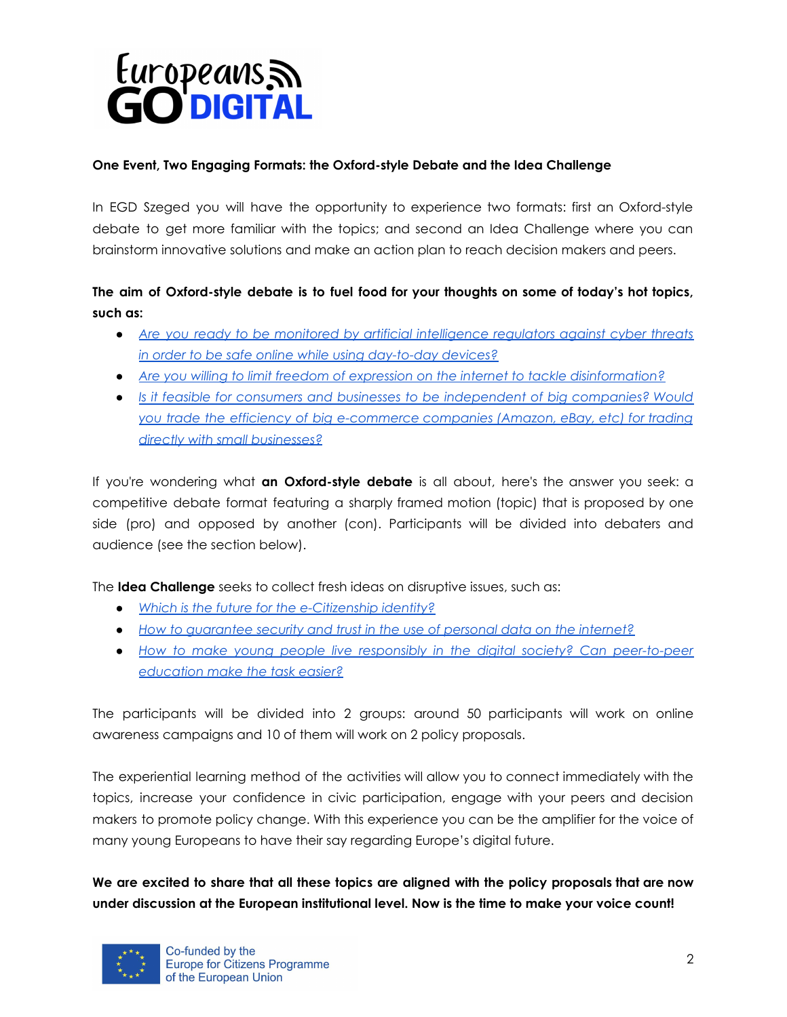

#### **One Event, Two Engaging Formats: the Oxford-style Debate and the Idea Challenge**

In EGD Szeged you will have the opportunity to experience two formats: first an Oxford-style debate to get more familiar with the topics; and second an Idea Challenge where you can brainstorm innovative solutions and make an action plan to reach decision makers and peers.

#### **The aim of Oxford-style debate is to fuel food for your thoughts on some of today's hot topics, such as:**

- *Are you ready to be monitored by artificial [intelligence](https://ec.europa.eu/commission/commissioners/2019-2024/breton/blog/how-european-cyber-resilience-act-will-help-protect-europe_en) regulators against cyber threats in order to be safe online while using [day-to-day](https://ec.europa.eu/commission/commissioners/2019-2024/breton/blog/how-european-cyber-resilience-act-will-help-protect-europe_en) devices?*
- *Are you willing to limit freedom of expression on the internet to tackle [disinformation?](https://www.europarl.europa.eu/doceo/document/O-9-2021-000060_EN.html)*
- *● Is it feasible for consumers and businesses to be [independent](https://www.europarl.europa.eu/legislative-train/theme-a-europe-fit-for-the-digital-age/file-digital-markets-act/11-2021) of big companies? Would you trade the efficiency of big [e-commerce](https://www.europarl.europa.eu/legislative-train/theme-a-europe-fit-for-the-digital-age/file-digital-markets-act/11-2021) companies (Amazon, eBay, etc) for trading directly with small [businesses?](https://www.europarl.europa.eu/legislative-train/theme-a-europe-fit-for-the-digital-age/file-digital-markets-act/11-2021)*

If you're wondering what **an Oxford-style debate** is all about, here's the answer you seek: a competitive debate format featuring a sharply framed motion (topic) that is proposed by one side (pro) and opposed by another (con). Participants will be divided into debaters and audience (see the section below).

The **Idea Challenge** seeks to collect fresh ideas on disruptive issues, such as:

- *● Which is the future for the [e-Citizenship](https://www.europarl.europa.eu/legislative-train/theme-a-europe-fit-for-the-digital-age/file-eid) identity?*
- *● How to [guarantee](https://www.europarl.europa.eu/legislative-train/theme-a-europe-fit-for-the-digital-age/file-jd-e-privacy-reform) security and trust in the use of personal data on the internet?*
- *● How to make young people live responsibly in the digital society? Can [peer-to-peer](https://www.europarl.europa.eu/legislative-train/theme-a-europe-fit-for-the-digital-age/file-digital-education-action-plan) [education](https://www.europarl.europa.eu/legislative-train/theme-a-europe-fit-for-the-digital-age/file-digital-education-action-plan) make the task easier?*

The participants will be divided into 2 groups: around 50 participants will work on online awareness campaigns and 10 of them will work on 2 policy proposals.

The experiential learning method of the activities will allow you to connect immediately with the topics, increase your confidence in civic participation, engage with your peers and decision makers to promote policy change. With this experience you can be the amplifier for the voice of many young Europeans to have their say regarding Europe's digital future.

**We are excited to share that all these topics are aligned with the policy proposals that are now under discussion at the European institutional level. Now is the time to make your voice count!**

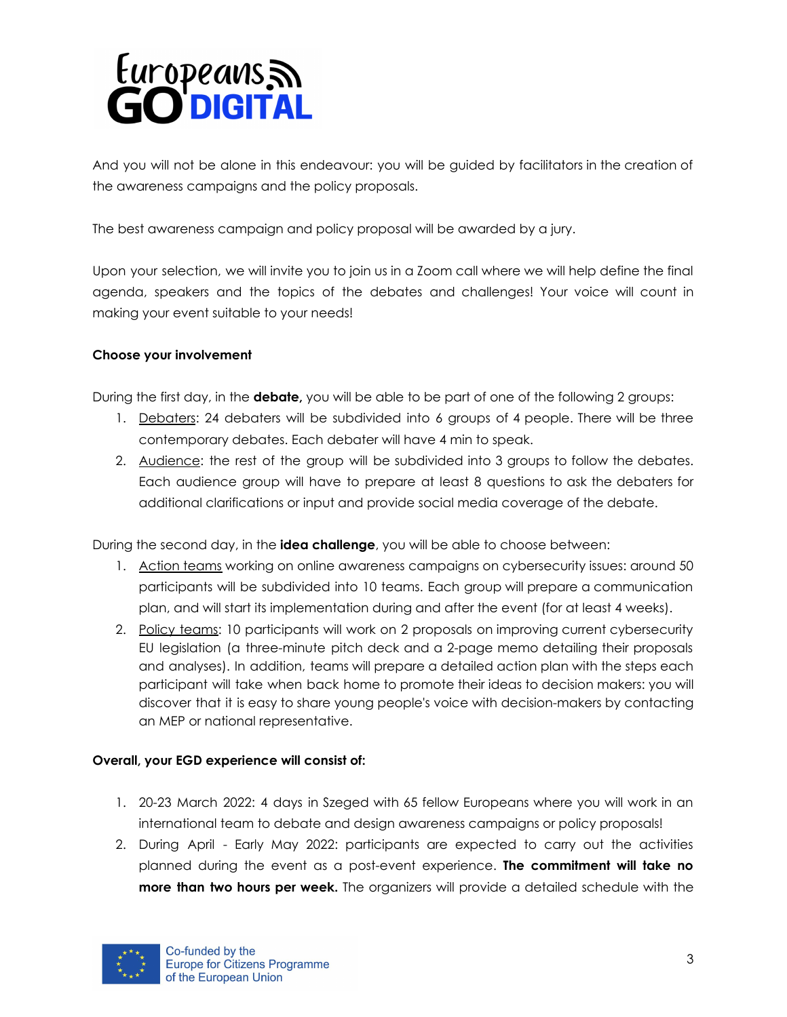# Europeans<sub>a</sub> **GO DIGITAL**

And you will not be alone in this endeavour: you will be guided by facilitators in the creation of the awareness campaigns and the policy proposals.

The best awareness campaign and policy proposal will be awarded by a jury.

Upon your selection, we will invite you to join us in a Zoom call where we will help define the final agenda, speakers and the topics of the debates and challenges! Your voice will count in making your event suitable to your needs!

#### **Choose your involvement**

During the first day, in the **debate,** you will be able to be part of one of the following 2 groups:

- 1. Debaters: 24 debaters will be subdivided into 6 groups of 4 people. There will be three contemporary debates. Each debater will have 4 min to speak.
- 2. Audience: the rest of the group will be subdivided into 3 groups to follow the debates. Each audience group will have to prepare at least 8 questions to ask the debaters for additional clarifications or input and provide social media coverage of the debate.

During the second day, in the **idea challenge**, you will be able to choose between:

- 1. Action teams working on online awareness campaigns on cybersecurity issues: around 50 participants will be subdivided into 10 teams. Each group will prepare a communication plan, and will start its implementation during and after the event (for at least 4 weeks).
- 2. Policy teams: 10 participants will work on 2 proposals on improving current cybersecurity EU legislation (a three-minute pitch deck and a 2-page memo detailing their proposals and analyses). In addition, teams will prepare a detailed action plan with the steps each participant will take when back home to promote their ideas to decision makers: you will discover that it is easy to share young people's voice with decision-makers by contacting an MEP or national representative.

#### **Overall, your EGD experience will consist of:**

- 1. 20-23 March 2022: 4 days in Szeged with 65 fellow Europeans where you will work in an international team to debate and design awareness campaigns or policy proposals!
- 2. During April Early May 2022: participants are expected to carry out the activities planned during the event as a post-event experience. **The commitment will take no more than two hours per week.** The organizers will provide a detailed schedule with the

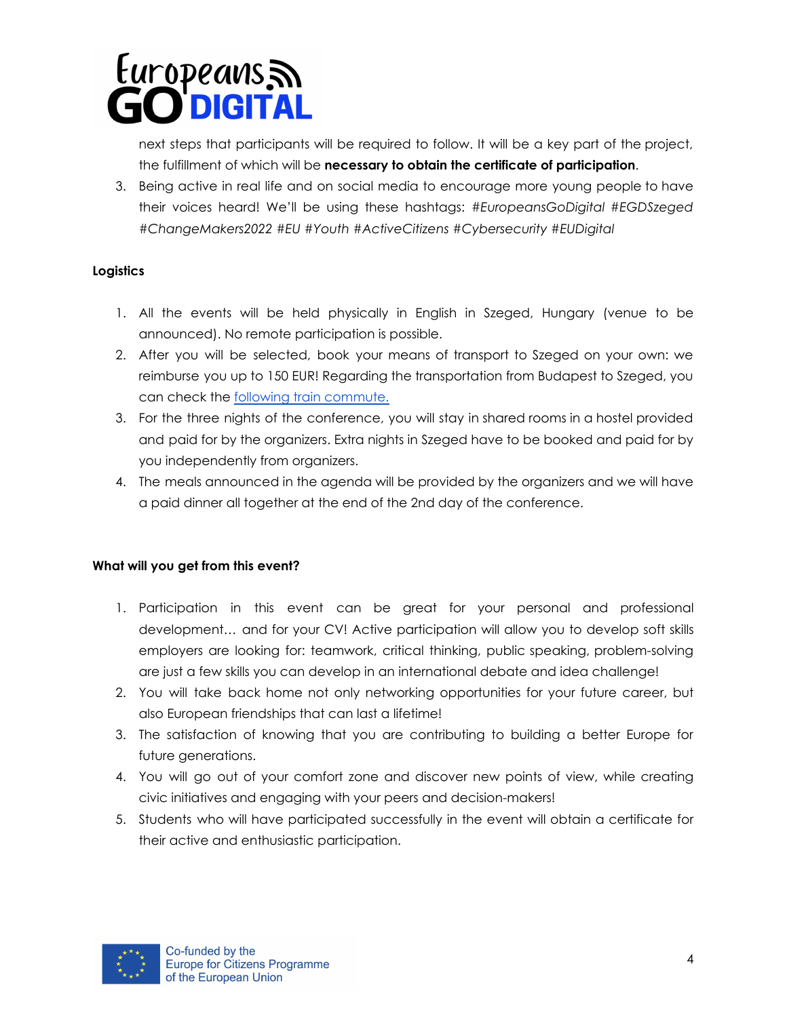# Europeans<sub>5</sub> **O'DIGITAL**

next steps that participants will be required to follow. It will be a key part of the project, the fulfillment of which will be **necessary to obtain the certificate of participation**.

3. Being active in real life and on social media to encourage more young people to have their voices heard! We'll be using these hashtags: *#EuropeansGoDigital #EGDSzeged #ChangeMakers2022 #EU #Youth #ActiveCitizens #Cybersecurity #EUDigital*

#### **Logistics**

- 1. All the events will be held physically in English in Szeged, Hungary (venue to be announced). No remote participation is possible.
- 2. After you will be selected, book your means of transport to Szeged on your own: we reimburse you up to 150 EUR! Regarding the transportation from Budapest to Szeged, you can check the following train [commute.](https://jegy.mav.hu/?honnan=005510009&hova=005590997&idopont=202112140000&indulaserkezes=indulas&lang=en)
- 3. For the three nights of the conference, you will stay in shared rooms in a hostel provided and paid for by the organizers. Extra nights in Szeged have to be booked and paid for by you independently from organizers.
- 4. The meals announced in the agenda will be provided by the organizers and we will have a paid dinner all together at the end of the 2nd day of the conference.

#### **What will you get from this event?**

- 1. Participation in this event can be great for your personal and professional development… and for your CV! Active participation will allow you to develop soft skills employers are looking for: teamwork, critical thinking, public speaking, problem-solving are just a few skills you can develop in an international debate and idea challenge!
- 2. You will take back home not only networking opportunities for your future career, but also European friendships that can last a lifetime!
- 3. The satisfaction of knowing that you are contributing to building a better Europe for future generations.
- 4. You will go out of your comfort zone and discover new points of view, while creating civic initiatives and engaging with your peers and decision-makers!
- 5. Students who will have participated successfully in the event will obtain a certificate for their active and enthusiastic participation.

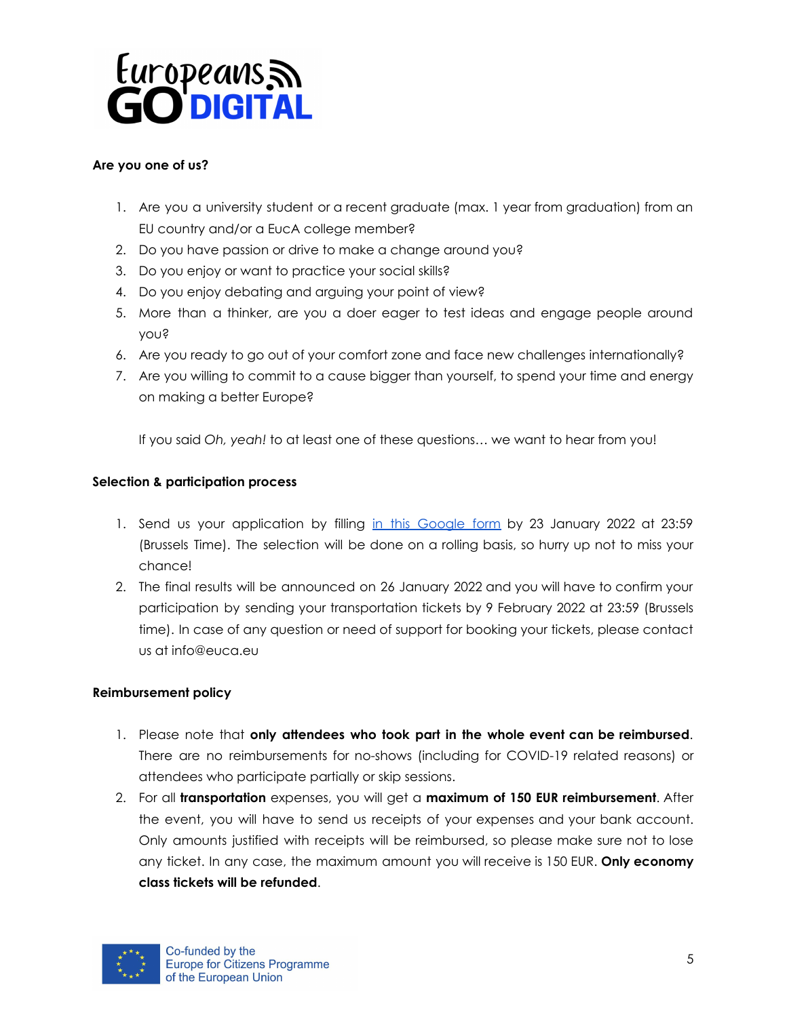## Europeans<sub>a</sub> **O'DIGITAL**

#### **Are you one of us?**

- 1. Are you a university student or a recent graduate (max. 1 year from graduation) from an EU country and/or a EucA college member?
- 2. Do you have passion or drive to make a change around you?
- 3. Do you enjoy or want to practice your social skills?
- 4. Do you enjoy debating and arguing your point of view?
- 5. More than a thinker, are you a doer eager to test ideas and engage people around you?
- 6. Are you ready to go out of your comfort zone and face new challenges internationally?
- 7. Are you willing to commit to a cause bigger than yourself, to spend your time and energy on making a better Europe?

If you said *Oh, yeah!* to at least one of these questions… we want to hear from you!

#### **Selection & participation process**

- 1. Send us your application by filling in this [Google](https://forms.gle/s7PH9yKBNaGNoix99) form by 23 January 2022 at 23:59 (Brussels Time). The selection will be done on a rolling basis, so hurry up not to miss your chance!
- 2. The final results will be announced on 26 January 2022 and you will have to confirm your participation by sending your transportation tickets by 9 February 2022 at 23:59 (Brussels time). In case of any question or need of support for booking your tickets, please contact us at info@euca.eu

#### **Reimbursement policy**

- 1. Please note that **only attendees who took part in the whole event can be reimbursed**. There are no reimbursements for no-shows (including for COVID-19 related reasons) or attendees who participate partially or skip sessions.
- 2. For all **transportation** expenses, you will get a **maximum of 150 EUR reimbursement**. After the event, you will have to send us receipts of your expenses and your bank account. Only amounts justified with receipts will be reimbursed, so please make sure not to lose any ticket. In any case, the maximum amount you will receive is 150 EUR. **Only economy class tickets will be refunded**.